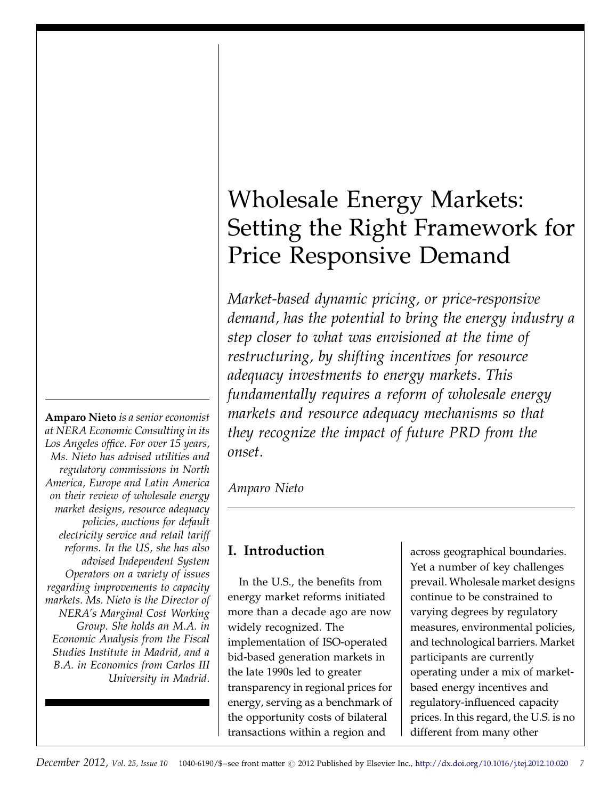Amparo Nieto is a senior economist at NERA Economic Consulting in its Los Angeles office. For over 15 years, Ms. Nieto has advised utilities and regulatory commissions in North America, Europe and Latin America on their review of wholesale energy market designs, resource adequacy policies, auctions for default electricity service and retail tariff reforms. In the US, she has also advised Independent System Operators on a variety of issues regarding improvements to capacity markets. Ms. Nieto is the Director of NERA's Marginal Cost Working Group. She holds an M.A. in Economic Analysis from the Fiscal Studies Institute in Madrid, and a B.A. in Economics from Carlos III University in Madrid.

## Wholesale Energy Markets: Setting the Right Framework for Price Responsive Demand

Market-based dynamic pricing, or price-responsive demand, has the potential to bring the energy industry a step closer to what was envisioned at the time of restructuring, by shifting incentives for resource adequacy investments to energy markets. This fundamentally requires a reform of wholesale energy markets and resource adequacy mechanisms so that they recognize the impact of future PRD from the onset.

Amparo Nieto

## I. Introduction

In the U.S., the benefits from energy market reforms initiated more than a decade ago are now widely recognized. The implementation of ISO-operated bid-based generation markets in the late 1990s led to greater transparency in regional prices for energy, serving as a benchmark of the opportunity costs of bilateral transactions within a region and

across geographical boundaries. Yet a number of key challenges prevail. Wholesale market designs continue to be constrained to varying degrees by regulatory measures, environmental policies, and technological barriers. Market participants are currently operating under a mix of marketbased energy incentives and regulatory-influenced capacity prices. In this regard, the U.S. is no different from many other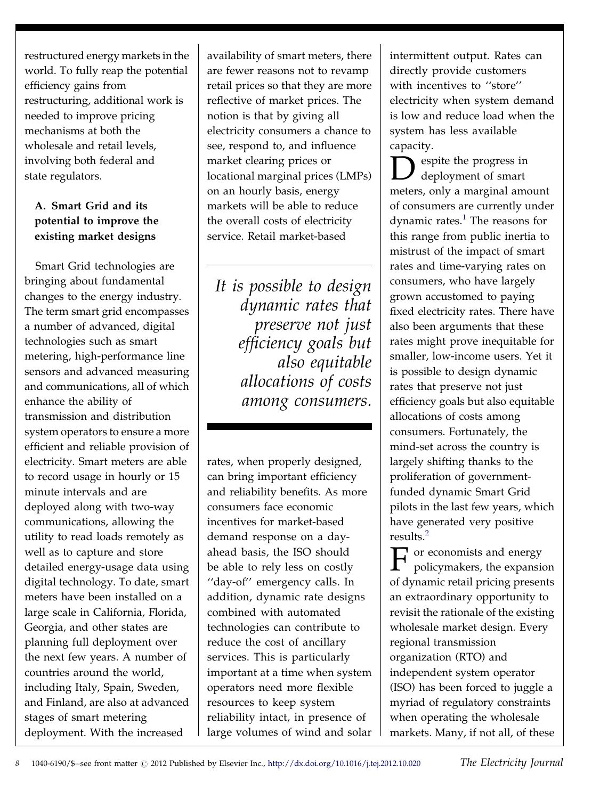restructured energy markets in the world. To fully reap the potential efficiency gains from restructuring, additional work is needed to improve pricing mechanisms at both the wholesale and retail levels, involving both federal and state regulators.

## A. Smart Grid and its potential to improve the existing market designs

Smart Grid technologies are bringing about fundamental changes to the energy industry. The term smart grid encompasses a number of advanced, digital technologies such as smart metering, high-performance line sensors and advanced measuring and communications, all of which enhance the ability of transmission and distribution system operators to ensure a more efficient and reliable provision of electricity. Smart meters are able to record usage in hourly or 15 minute intervals and are deployed along with two-way communications, allowing the utility to read loads remotely as well as to capture and store detailed energy-usage data using digital technology. To date, smart meters have been installed on a large scale in California, Florida, Georgia, and other states are planning full deployment over the next few years. A number of countries around the world, including Italy, Spain, Sweden, and Finland, are also at advanced stages of smart metering deployment. With the increased

availability of smart meters, there are fewer reasons not to revamp retail prices so that they are more reflective of market prices. The notion is that by giving all electricity consumers a chance to see, respond to, and influence market clearing prices or locational marginal prices (LMPs) on an hourly basis, energy markets will be able to reduce the overall costs of electricity service. Retail market-based

It is possible to design dynamic rates that preserve not just efficiency goals but also equitable allocations of costs among consumers.

rates, when properly designed, can bring important efficiency and reliability benefits. As more consumers face economic incentives for market-based demand response on a dayahead basis, the ISO should be able to rely less on costly ''day-of'' emergency calls. In addition, dynamic rate designs combined with automated technologies can contribute to reduce the cost of ancillary services. This is particularly important at a time when system operators need more flexible resources to keep system reliability intact, in presence of large volumes of wind and solar intermittent output. Rates can directly provide customers with incentives to ''store'' electricity when system demand is low and reduce load when the system has less available capacity.

 $\sum$  espite the progress in<br>deployment of smart meters, only a marginal amount of consumers are currently under dynamic rates. $<sup>1</sup>$  $<sup>1</sup>$  $<sup>1</sup>$  The reasons for</sup> this range from public inertia to mistrust of the impact of smart rates and time-varying rates on consumers, who have largely grown accustomed to paying fixed electricity rates. There have also been arguments that these rates might prove inequitable for smaller, low-income users. Yet it is possible to design dynamic rates that preserve not just efficiency goals but also equitable allocations of costs among consumers. Fortunately, the mind-set across the country is largely shifting thanks to the proliferation of governmentfunded dynamic Smart Grid pilots in the last few years, which have generated very positive results[.2](#page--1-0)

 $\Gamma$  or economists and energy policymakers, the expansion of dynamic retail pricing presents an extraordinary opportunity to revisit the rationale of the existing wholesale market design. Every regional transmission organization (RTO) and independent system operator (ISO) has been forced to juggle a myriad of regulatory constraints when operating the wholesale markets. Many, if not all, of these